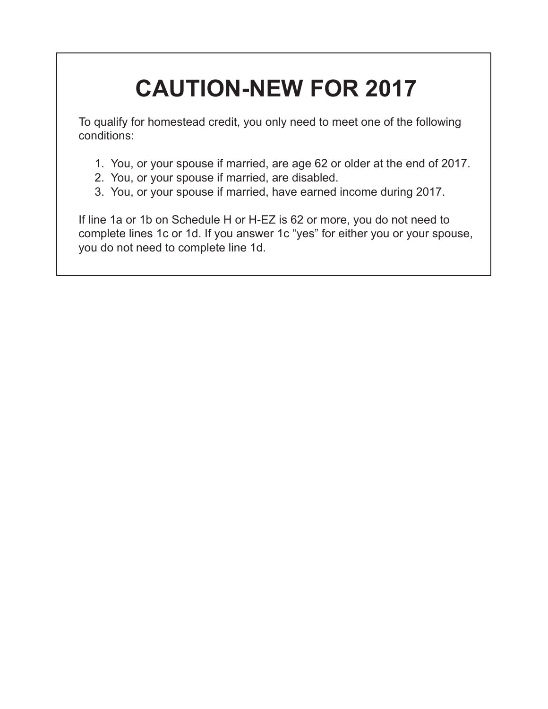# **CAUTION-NEW FOR 2017**

To qualify for homestead credit, you only need to meet one of the following conditions:

- 1. You, or your spouse if married, are age 62 or older at the end of 2017.
- 2. You, or your spouse if married, are disabled.
- 3. You, or your spouse if married, have earned income during 2017.

If line 1a or 1b on Schedule H or H-EZ is 62 or more, you do not need to complete lines 1c or 1d. If you answer 1c "yes" for either you or your spouse, you do not need to complete line 1d.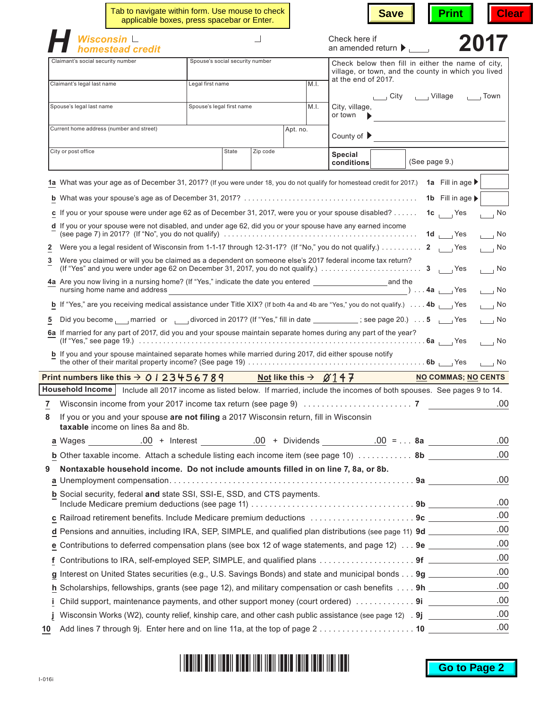|                                   | Tab to navigate within form. Use mouse to check                                                                               | applicable boxes, press spacebar or Enter. |          |          | <b>Save</b><br><b>Print</b>                                                                                                                                                                                                                  | <b>Clear</b> |
|-----------------------------------|-------------------------------------------------------------------------------------------------------------------------------|--------------------------------------------|----------|----------|----------------------------------------------------------------------------------------------------------------------------------------------------------------------------------------------------------------------------------------------|--------------|
|                                   | Wisconsin L<br>homestead credit                                                                                               |                                            |          |          | Check here if<br>2017<br>an amended return $\blacktriangleright$                                                                                                                                                                             |              |
| Claimant's social security number |                                                                                                                               | Spouse's social security number            |          |          | Check below then fill in either the name of city.<br>village, or town, and the county in which you lived                                                                                                                                     |              |
| Claimant's legal last name        |                                                                                                                               | Legal first name                           |          | M.I.     | at the end of 2017.                                                                                                                                                                                                                          |              |
|                                   |                                                                                                                               |                                            |          |          | City ______ Village _______ Town                                                                                                                                                                                                             |              |
| Spouse's legal last name          |                                                                                                                               | Spouse's legal first name                  |          | M.I.     | City, village,<br>or town                                                                                                                                                                                                                    |              |
|                                   | Current home address (number and street)                                                                                      |                                            |          | Apt. no. | County of $\blacktriangleright$                                                                                                                                                                                                              |              |
| City or post office               |                                                                                                                               | State                                      | Zip code |          | <b>Special</b><br>(See page 9.)<br>conditions                                                                                                                                                                                                |              |
|                                   |                                                                                                                               |                                            |          |          | 1a What was your age as of December 31, 2017? (If you were under 18, you do not qualify for homestead credit for 2017.) 1a Fill in age ▶                                                                                                     |              |
|                                   |                                                                                                                               |                                            |          |          | 1b Fill in age $\blacktriangleright$                                                                                                                                                                                                         |              |
|                                   |                                                                                                                               |                                            |          |          |                                                                                                                                                                                                                                              |              |
|                                   | d If you or your spouse were not disabled, and under age 62, did you or your spouse have any earned income                    |                                            |          |          | c If you or your spouse were under age 62 as of December 31, 2017, were you or your spouse disabled?<br>$1c$ Yes<br>$\overline{\phantom{0}}$ No                                                                                              |              |
|                                   |                                                                                                                               |                                            |          |          | 1d $Yes$<br>$\overline{\phantom{0}}$ No                                                                                                                                                                                                      |              |
| $\overline{\mathbf{c}}$           |                                                                                                                               |                                            |          |          | Were you a legal resident of Wisconsin from 1-1-17 through 12-31-17? (If "No," you do not qualify.) 2<br>$\overline{\phantom{0}}$ No                                                                                                         |              |
| 3                                 |                                                                                                                               |                                            |          |          | Were you claimed or will you be claimed as a dependent on someone else's 2017 federal income tax return?<br>(If "Yes" and you were under age 62 on December 31, 2017, you do not qualify.) $\ldots \ldots \ldots \ldots \ldots$<br>$\Box$ No |              |
|                                   |                                                                                                                               |                                            |          |          | nursing home name and address $\overline{\phantom{a}}$ Yes<br>$\Box$ No                                                                                                                                                                      |              |
|                                   |                                                                                                                               |                                            |          |          | <b>b</b> If "Yes," are you receiving medical assistance under Title XIX? (If both 4a and 4b are "Yes," you do not qualify.) 4b $\overline{ }$ Yes<br>$\overline{\phantom{0}}$ No                                                             |              |
| 5                                 |                                                                                                                               |                                            |          |          | Did you become narried or divorced in 2017? (If "Yes," fill in date ___________; see page 20.)  5 _____ Yes<br>$\overline{1}$ No                                                                                                             |              |
|                                   |                                                                                                                               |                                            |          |          | 6a If married for any part of 2017, did you and your spouse maintain separate homes during any part of the year?<br>$\overline{\phantom{0}}$ No                                                                                              |              |
|                                   | b If you and your spouse maintained separate homes while married during 2017, did either spouse notify                        |                                            |          |          | $\overline{1}$ $\overline{1}$ No                                                                                                                                                                                                             |              |
|                                   | Print numbers like this $\rightarrow$ 0   23456789                                                                            |                                            |          |          | Not like this $\rightarrow$ $\cancel{\alpha}$ 1 4 7<br><b>NO COMMAS; NO CENTS</b>                                                                                                                                                            |              |
|                                   |                                                                                                                               |                                            |          |          | Household Income   Include all 2017 income as listed below. If married, include the incomes of both spouses. See pages 9 to 14.                                                                                                              |              |
|                                   |                                                                                                                               |                                            |          |          |                                                                                                                                                                                                                                              | .00          |
| 8                                 | If you or you and your spouse are not filing a 2017 Wisconsin return, fill in Wisconsin<br>taxable income on lines 8a and 8b. |                                            |          |          |                                                                                                                                                                                                                                              |              |
|                                   |                                                                                                                               |                                            |          |          |                                                                                                                                                                                                                                              | .00          |
|                                   |                                                                                                                               |                                            |          |          | <b>b</b> Other taxable income. Attach a schedule listing each income item (see page 10) $\ldots$ 8b                                                                                                                                          | .00          |
| 9                                 | Nontaxable household income. Do not include amounts filled in on line 7, 8a, or 8b.                                           |                                            |          |          |                                                                                                                                                                                                                                              |              |
| а                                 |                                                                                                                               |                                            |          |          |                                                                                                                                                                                                                                              | .00          |
|                                   | b Social security, federal and state SSI, SSI-E, SSD, and CTS payments.                                                       |                                            |          |          |                                                                                                                                                                                                                                              | .00          |
|                                   |                                                                                                                               |                                            |          |          | c Railroad retirement benefits. Include Medicare premium deductions 9c _________                                                                                                                                                             | .00          |
|                                   |                                                                                                                               |                                            |          |          | d Pensions and annuities, including IRA, SEP, SIMPLE, and qualified plan distributions (see page 11) 9d _______                                                                                                                              | .00          |
|                                   |                                                                                                                               |                                            |          |          | e Contributions to deferred compensation plans (see box 12 of wage statements, and page 12) 9e ________                                                                                                                                      | .00          |
| f.                                |                                                                                                                               |                                            |          |          | Contributions to IRA, self-employed SEP, SIMPLE, and qualified plans  9f                                                                                                                                                                     | .00          |
|                                   |                                                                                                                               |                                            |          |          | g Interest on United States securities (e.g., U.S. Savings Bonds) and state and municipal bonds 9g _________                                                                                                                                 | .00          |
|                                   |                                                                                                                               |                                            |          |          | h Scholarships, fellowships, grants (see page 12), and military compensation or cash benefits 9h _____                                                                                                                                       | .00          |
| Ĩ.                                |                                                                                                                               |                                            |          |          | Child support, maintenance payments, and other support money (court ordered)  9i                                                                                                                                                             | .00          |
|                                   |                                                                                                                               |                                            |          |          | Wisconsin Works (W2), county relief, kinship care, and other cash public assistance (see page 12) 9j                                                                                                                                         | .00          |
| 10                                |                                                                                                                               |                                            |          |          |                                                                                                                                                                                                                                              | .00          |

| I IODIIDI DIDI IIODII DIDDI IIOI IIOII IDDID IDIID IDIDI IIDI IDDI |  |
|--------------------------------------------------------------------|--|
|--------------------------------------------------------------------|--|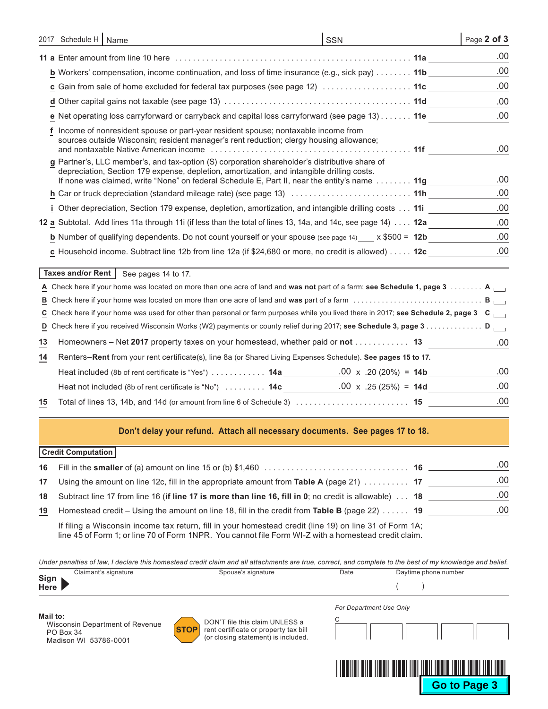| 2017 Schedule H   Name                                                                                                                                                                                                                                                                                        | <b>SSN</b> | Page 2 of 3 |
|---------------------------------------------------------------------------------------------------------------------------------------------------------------------------------------------------------------------------------------------------------------------------------------------------------------|------------|-------------|
| 11 a Enter amount from line 10 here with the contract of the contract of the contract of the contract of the contract of the contract of the contract of the contract of the contract of the contract of the contract of the c                                                                                |            | .00.        |
| <b>b</b> Workers' compensation, income continuation, and loss of time insurance (e.g., sick pay) $\dots \dots$ 11b                                                                                                                                                                                            |            | .00         |
|                                                                                                                                                                                                                                                                                                               |            | .00         |
|                                                                                                                                                                                                                                                                                                               |            | .00.        |
| e Net operating loss carryforward or carryback and capital loss carryforward (see page 13) 11e                                                                                                                                                                                                                |            | .00.        |
| Income of nonresident spouse or part-year resident spouse; nontaxable income from<br>sources outside Wisconsin; resident manager's rent reduction; clergy housing allowance;                                                                                                                                  |            | .00         |
| g Partner's, LLC member's, and tax-option (S) corporation shareholder's distributive share of<br>depreciation, Section 179 expense, depletion, amortization, and intangible drilling costs.<br>If none was claimed, write "None" on federal Schedule E, Part II, near the entity's name $\ldots \ldots$ . 11g |            | .00         |
|                                                                                                                                                                                                                                                                                                               |            | .00         |
| i Other depreciation, Section 179 expense, depletion, amortization, and intangible drilling costs 11i                                                                                                                                                                                                         |            | .00         |
| 12 a Subtotal. Add lines 11a through 11i (if less than the total of lines 13, 14a, and 14c, see page 14) 12a                                                                                                                                                                                                  |            | .00         |
| <b>b</b> Number of qualifying dependents. Do not count yourself or your spouse (see page 14) $\times$ \$500 = 12b                                                                                                                                                                                             |            | .00.        |
| c Household income. Subtract line 12b from line 12a (if \$24,680 or more, no credit is allowed) 12c                                                                                                                                                                                                           |            | .00         |
| Taxes and/or Rent  <br>See pages 14 to 17.                                                                                                                                                                                                                                                                    |            |             |
| A Check here if your home was located on more than one acre of land and was not part of a farm; see Schedule 1, page 3 A                                                                                                                                                                                      |            |             |
|                                                                                                                                                                                                                                                                                                               |            |             |

## **Don't delay your refund. Attach all necessary documents. See pages 17 to 18.**

**C** Check here if your home was used for other than personal or farm purposes while you lived there in 2017; **see Schedule 2, page 3 C D** Check here if you received Wisconsin Works (W2) payments or county relief during 2017; see Schedule 3, page 3. **D** 

## **Credit Computation**

|    |                                                                                                                                                 | .00 |
|----|-------------------------------------------------------------------------------------------------------------------------------------------------|-----|
| 17 | Using the amount on line 12c, fill in the appropriate amount from Table A (page 21) $\ldots \ldots \ldots$ 17                                   | .00 |
|    | 18 Subtract line 17 from line 16 (if line 17 is more than line 16, fill in 0; no credit is allowable) 18                                        | .00 |
| 19 | Homestead credit – Using the amount on line 18, fill in the credit from Table B (page 22) $\dots$ . 19                                          | .00 |
|    | If $f(t)$ and a $\mathbf{M}$ because the contact of $f(t)$ is a set of the set of the set $f(t)$ and $f(t)$ are $\mathbf{M}$ and $\mathbf{M}$ . |     |

If filing a Wisconsin income tax return, fill in your homestead credit (line 19) on line 31 of Form 1A; line 45 of Form 1; or line 70 of Form 1NPR. You cannot file Form WI-Z with a homestead credit claim.

**13** Homeowners – Net **2017** property taxes on your homestead, whether paid or **not** . . **13 14** Renters–**Rent** from your rent certificate(s), line 8a (or Shared Living Expenses Schedule). **See pages 15 to 17.** Heat included (8b of rent certificate is "Yes"). . . **14a** x .20 (20%) = **14b** .00

**15** Total of lines 13, 14b, and 14d (or amount from line 6 of Schedule 3) . . **15**

#### *Under penalties of law, I declare this homestead credit claim and all attachments are true, correct, and complete to the best of my knowledge and belief.*

|                     | Claimant's signature | Spouse's sianature | Date | Daytime phone number |
|---------------------|----------------------|--------------------|------|----------------------|
| Sign<br><b>Here</b> |                      |                    |      |                      |

**Mail to:** Wisconsin Department of Revenue PO Box 34 Madison WI 53786-0001



Heat not included (8b of rent certificate is "No")  $\ldots \ldots \ldots$  **14c** 

DON'T file this claim UNLESS a rent certificate or property tax bill (or closing statement) is included.

| For Department Use Only |  |  |  |  |  |  |  |
|-------------------------|--|--|--|--|--|--|--|
|                         |  |  |  |  |  |  |  |
|                         |  |  |  |  |  |  |  |
|                         |  |  |  |  |  |  |  |

 $.00 \times .25(25%) = 14d$ 

.00

.00 .00 .00